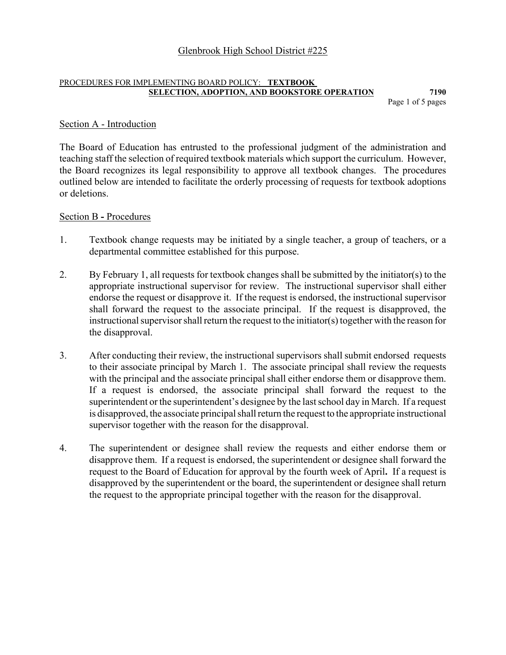Page 1 of 5 pages

# Section A - Introduction

The Board of Education has entrusted to the professional judgment of the administration and teaching staff the selection of required textbook materials which support the curriculum. However, the Board recognizes its legal responsibility to approve all textbook changes. The procedures outlined below are intended to facilitate the orderly processing of requests for textbook adoptions or deletions.

# Section B **-** Procedures

- 1. Textbook change requests may be initiated by a single teacher, a group of teachers, or a departmental committee established for this purpose.
- 2. By February 1, all requests for textbook changes shall be submitted by the initiator(s) to the appropriate instructional supervisor for review. The instructional supervisor shall either endorse the request or disapprove it. If the request is endorsed, the instructional supervisor shall forward the request to the associate principal. If the request is disapproved, the instructional supervisor shall return the request to the initiator(s) together with the reason for the disapproval.
- 3. After conducting their review, the instructional supervisors shall submit endorsed requests to their associate principal by March 1. The associate principal shall review the requests with the principal and the associate principal shall either endorse them or disapprove them. If a request is endorsed, the associate principal shall forward the request to the superintendent or the superintendent's designee by the last school day in March. If a request is disapproved, the associate principal shall return the request to the appropriate instructional supervisor together with the reason for the disapproval.
- 4. The superintendent or designee shall review the requests and either endorse them or disapprove them. If a request is endorsed, the superintendent or designee shall forward the request to the Board of Education for approval by the fourth week of April**.** If a request is disapproved by the superintendent or the board, the superintendent or designee shall return the request to the appropriate principal together with the reason for the disapproval.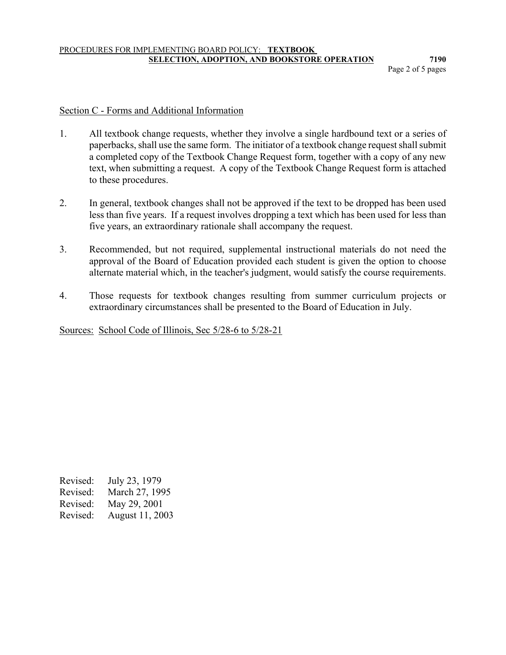Page 2 of 5 pages

# Section C - Forms and Additional Information

- 1. All textbook change requests, whether they involve a single hardbound text or a series of paperbacks, shall use the same form. The initiator of a textbook change request shall submit a completed copy of the Textbook Change Request form, together with a copy of any new text, when submitting a request. A copy of the Textbook Change Request form is attached to these procedures.
- 2. In general, textbook changes shall not be approved if the text to be dropped has been used less than five years. If a request involves dropping a text which has been used for less than five years, an extraordinary rationale shall accompany the request.
- 3. Recommended, but not required, supplemental instructional materials do not need the approval of the Board of Education provided each student is given the option to choose alternate material which, in the teacher's judgment, would satisfy the course requirements.
- 4. Those requests for textbook changes resulting from summer curriculum projects or extraordinary circumstances shall be presented to the Board of Education in July.

Sources: School Code of Illinois, Sec 5/28-6 to 5/28-21

Revised: July 23, 1979 Revised: March 27, 1995 Revised: May 29, 2001 Revised: August 11, 2003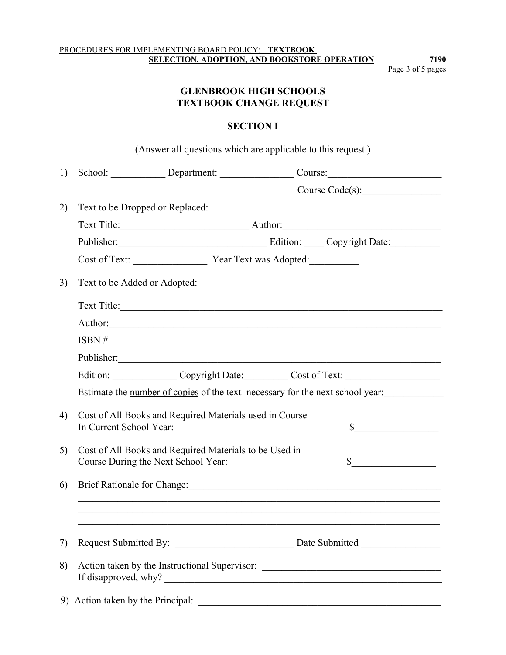Page 3 of 5 pages

# **GLENBROOK HIGH SCHOOLS TEXTBOOK CHANGE REQUEST**

# **SECTION I**

|    |                                                                                               | (Answer all questions which are applicable to this request.) |                                                                                                                                                                                                                                |
|----|-----------------------------------------------------------------------------------------------|--------------------------------------------------------------|--------------------------------------------------------------------------------------------------------------------------------------------------------------------------------------------------------------------------------|
| 1) |                                                                                               |                                                              | School: Department: Course: Course:                                                                                                                                                                                            |
|    |                                                                                               |                                                              |                                                                                                                                                                                                                                |
| 2) | Text to be Dropped or Replaced:                                                               |                                                              |                                                                                                                                                                                                                                |
|    |                                                                                               |                                                              |                                                                                                                                                                                                                                |
|    |                                                                                               |                                                              | Publisher: Copyright Date:                                                                                                                                                                                                     |
|    | Cost of Text: <u>Vear Text was Adopted:</u>                                                   |                                                              |                                                                                                                                                                                                                                |
| 3) | Text to be Added or Adopted:                                                                  |                                                              |                                                                                                                                                                                                                                |
|    |                                                                                               |                                                              | Text Title:                                                                                                                                                                                                                    |
|    |                                                                                               |                                                              | Author: Authorized and the contract of the contract of the contract of the contract of the contract of the contract of the contract of the contract of the contract of the contract of the contract of the contract of the con |
|    |                                                                                               |                                                              | $\text{ISBN} \#$                                                                                                                                                                                                               |
|    |                                                                                               |                                                              |                                                                                                                                                                                                                                |
|    |                                                                                               |                                                              | Edition: Copyright Date: Cost of Text:                                                                                                                                                                                         |
|    |                                                                                               |                                                              | Estimate the number of copies of the text necessary for the next school year:                                                                                                                                                  |
| 4) | Cost of All Books and Required Materials used in Course<br>In Current School Year:            |                                                              | $\sim$                                                                                                                                                                                                                         |
| 5) | Cost of All Books and Required Materials to be Used in<br>Course During the Next School Year: |                                                              | $\sim$                                                                                                                                                                                                                         |
| 6) |                                                                                               |                                                              | Brief Rationale for Change: 1988 and 2008 and 2008 and 2008 and 2008 and 2008 and 2008 and 2008 and 2008 and 20                                                                                                                |
|    |                                                                                               |                                                              |                                                                                                                                                                                                                                |
|    |                                                                                               |                                                              |                                                                                                                                                                                                                                |
| 7) |                                                                                               |                                                              |                                                                                                                                                                                                                                |
| 8) |                                                                                               |                                                              | Action taken by the Instructional Supervisor: ___________________________________                                                                                                                                              |
|    |                                                                                               |                                                              |                                                                                                                                                                                                                                |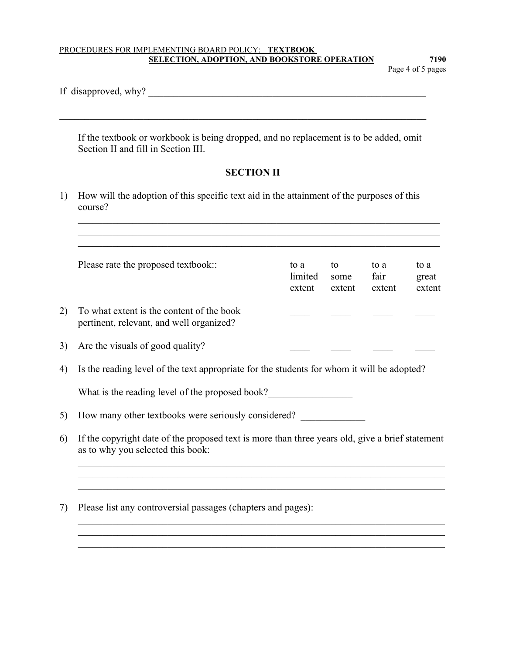Page 4 of 5 pages

|  | If disapproved, why? |  |  |
|--|----------------------|--|--|
|--|----------------------|--|--|

 If the textbook or workbook is being dropped, and no replacement is to be added, omit Section II and fill in Section III.

 $\mathcal{L}_\text{max} = \mathcal{L}_\text{max} = \mathcal{L}_\text{max} = \mathcal{L}_\text{max} = \mathcal{L}_\text{max} = \mathcal{L}_\text{max} = \mathcal{L}_\text{max} = \mathcal{L}_\text{max} = \mathcal{L}_\text{max} = \mathcal{L}_\text{max} = \mathcal{L}_\text{max} = \mathcal{L}_\text{max} = \mathcal{L}_\text{max} = \mathcal{L}_\text{max} = \mathcal{L}_\text{max} = \mathcal{L}_\text{max} = \mathcal{L}_\text{max} = \mathcal{L}_\text{max} = \mathcal{$ 

# **SECTION II**

 $\mathcal{L}_\mathcal{L} = \{ \mathcal{L}_\mathcal{L} = \{ \mathcal{L}_\mathcal{L} = \{ \mathcal{L}_\mathcal{L} = \{ \mathcal{L}_\mathcal{L} = \{ \mathcal{L}_\mathcal{L} = \{ \mathcal{L}_\mathcal{L} = \{ \mathcal{L}_\mathcal{L} = \{ \mathcal{L}_\mathcal{L} = \{ \mathcal{L}_\mathcal{L} = \{ \mathcal{L}_\mathcal{L} = \{ \mathcal{L}_\mathcal{L} = \{ \mathcal{L}_\mathcal{L} = \{ \mathcal{L}_\mathcal{L} = \{ \mathcal{L}_\mathcal{$ 

1) How will the adoption of this specific text aid in the attainment of the purposes of this course?

|                                                     | Please rate the proposed textbook::                                                                                                  | to a<br>limited<br>extent                                    | to<br>some<br>extent | to a<br>fair<br>extent | to a<br>great<br>extent |  |  |  |  |
|-----------------------------------------------------|--------------------------------------------------------------------------------------------------------------------------------------|--------------------------------------------------------------|----------------------|------------------------|-------------------------|--|--|--|--|
|                                                     | To what extent is the content of the book<br>pertinent, relevant, and well organized?                                                |                                                              |                      |                        |                         |  |  |  |  |
|                                                     | Are the visuals of good quality?                                                                                                     |                                                              |                      |                        |                         |  |  |  |  |
|                                                     | Is the reading level of the text appropriate for the students for whom it will be adopted?                                           |                                                              |                      |                        |                         |  |  |  |  |
|                                                     | What is the reading level of the proposed book?                                                                                      |                                                              |                      |                        |                         |  |  |  |  |
| How many other textbooks were seriously considered? |                                                                                                                                      |                                                              |                      |                        |                         |  |  |  |  |
|                                                     | If the copyright date of the proposed text is more than three years old, give a brief statement<br>as to why you selected this book: |                                                              |                      |                        |                         |  |  |  |  |
|                                                     |                                                                                                                                      |                                                              |                      |                        |                         |  |  |  |  |
|                                                     |                                                                                                                                      | Please list any controversial passages (chapters and pages): |                      |                        |                         |  |  |  |  |